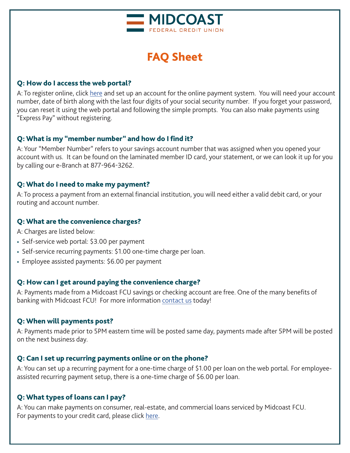

# FAQ Sheet

## Q: How do I access the web portal?

A: To register online, click [here a](https://web.baconpay.com/gate/login?institutionId=919f536d-e390-4901-8371-8ec4e9f5157c)nd set up an account for the online payment system. You will need your account number, date of birth along with the last four digits of your social security number. If you forget your password, you can reset it using the web portal and following the simple prompts. You can also make payments using "Express Pay" without registering.

# Q: What is my "member number" and how do I find it?

A: Your "Member Number" refers to your savings account number that was assigned when you opened your account with us. It can be found on the laminated member ID card, your statement, or we can look it up for you by calling our e-Branch at 877-964-3262.

## Q: What do I need to make my payment?

A: To process a payment from an external financial institution, you will need either a valid debit card, or your routing and account number.

## Q: What are the convenience charges?

A: Charges are listed below:

- Self-service web portal: \$3.00 per payment
- Self-service recurring payments: \$1.00 one-time charge per loan.
- Employee assisted payments: \$6.00 per payment

# Q: How can I get around paying the convenience charge?

A: Payments made from a Midcoast FCU savings or checking account are free. One of the many benefits of banking with Midcoast FCU! For more information [contact us](https://www.midcoastfcu.me/about/contact/) today!

# Q: When will payments post?

A: Payments made prior to 5PM eastern time will be posted same day, payments made after 5PM will be posted on the next business day.

# Q: Can I set up recurring payments online or on the phone?

A: You can set up a recurring payment for a one-time charge of \$1.00 per loan on the web portal. For employeeassisted recurring payment setup, there is a one-time charge of \$6.00 per loan.

# Q: What types of loans can I pay?

A: You can make payments on consumer, real-estate, and commercial loans serviced by Midcoast FCU. For payments to your credit card, please click [here.](https://www.ezcardinfo.com/?#/)